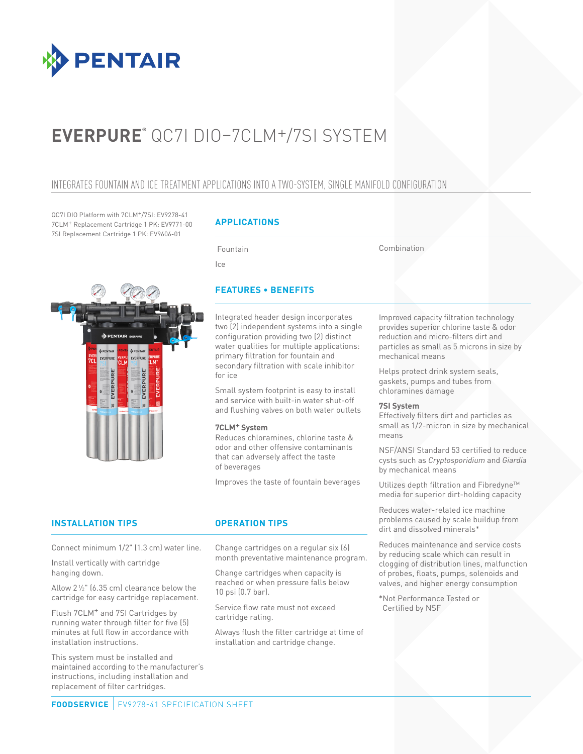

# **EVERPURE®** QC7I DIO–7CLM+/7SI SYSTEM

### INTEGRATES FOUNTAIN AND ICE TREATMENT APPLICATIONS INTO A TWO-SYSTEM, SINGLE MANIFOLD CONFIGURATION

QC7I DIO Platform with 7CLM+/7SI: EV9278-41 7CLM+ Replacement Cartridge 1 PK: EV9771-00 7SI Replacement Cartridge 1 PK: EV9606-01

### **APPLICATIONS**

Fountain

Ice

Combination



### **FEATURES • BENEFITS**

Integrated header design incorporates two (2) independent systems into a single configuration providing two (2) distinct water qualities for multiple applications: primary filtration for fountain and secondary filtration with scale inhibitor for ice

Small system footprint is easy to install and service with built-in water shut-off and flushing valves on both water outlets

### **7CLM+ System**

Reduces chloramines, chlorine taste & odor and other offensive contaminants that can adversely affect the taste of beverages

Improves the taste of fountain beverages

### **INSTALLATION TIPS OPERATION TIPS**

Connect minimum 1/2" (1.3 cm) water line.

Install vertically with cartridge hanging down.

Allow 21 ⁄2" (6.35 cm) clearance below the cartridge for easy cartridge replacement.

Flush 7CLM+ and 7SI Cartridges by running water through filter for five (5) minutes at full flow in accordance with installation instructions.

This system must be installed and maintained according to the manufacturer's instructions, including installation and replacement of filter cartridges.

Change cartridges on a regular six (6) month preventative maintenance program.

Change cartridges when capacity is reached or when pressure falls below 10 psi (0.7 bar).

Service flow rate must not exceed cartridge rating.

Always flush the filter cartridge at time of installation and cartridge change.

Improved capacity filtration technology provides superior chlorine taste & odor reduction and micro-filters dirt and particles as small as 5 microns in size by mechanical means

Helps protect drink system seals, gaskets, pumps and tubes from chloramines damage

### **7SI System**

Effectively filters dirt and particles as small as 1/2-micron in size by mechanical means

NSF/ANSI Standard 53 certified to reduce cysts such as *Cryptosporidium* and *Giardia*  by mechanical means

Utilizes depth filtration and Fibredyne™ media for superior dirt-holding capacity

Reduces water-related ice machine problems caused by scale buildup from dirt and dissolved minerals\*

Reduces maintenance and service costs by reducing scale which can result in clogging of distribution lines, malfunction of probes, floats, pumps, solenoids and valves, and higher energy consumption

\*Not Performance Tested or Certified by NSF